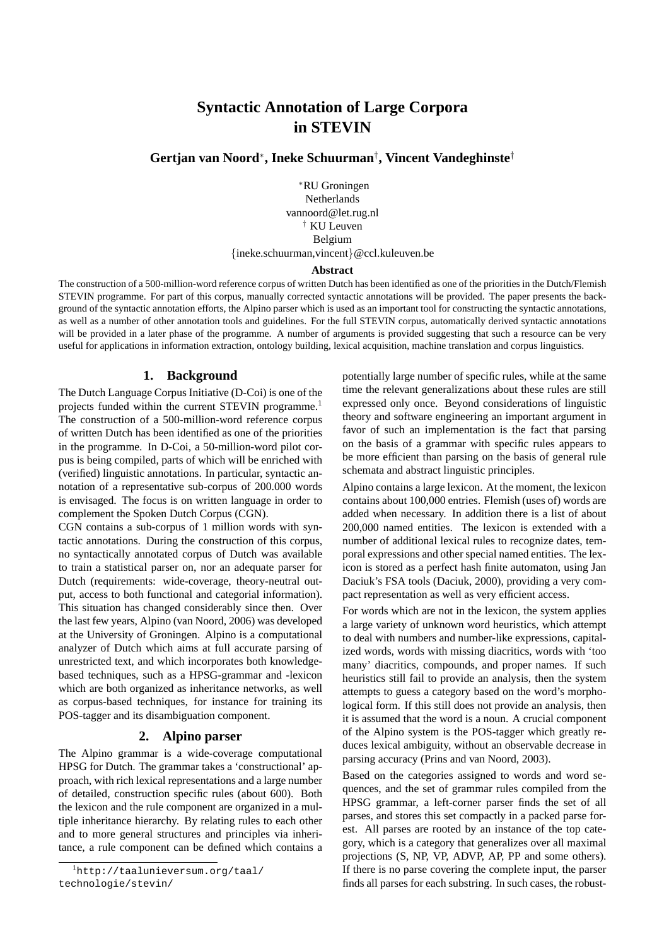# **Syntactic Annotation of Large Corpora in STEVIN**

**Gertjan van Noord**<sup>∗</sup> **, Ineke Schuurman**† **, Vincent Vandeghinste**†

<sup>∗</sup>RU Groningen Netherlands vannoord@let.rug.nl † KU Leuven Belgium {ineke.schuurman,vincent}@ccl.kuleuven.be

#### **Abstract**

The construction of a 500-million-word reference corpus of written Dutch has been identified as one of the priorities in the Dutch/Flemish STEVIN programme. For part of this corpus, manually corrected syntactic annotations will be provided. The paper presents the background of the syntactic annotation efforts, the Alpino parser which is used as an important tool for constructing the syntactic annotations, as well as a number of other annotation tools and guidelines. For the full STEVIN corpus, automatically derived syntactic annotations will be provided in a later phase of the programme. A number of arguments is provided suggesting that such a resource can be very useful for applications in information extraction, ontology building, lexical acquisition, machine translation and corpus linguistics.

#### **1. Background**

The Dutch Language Corpus Initiative (D-Coi) is one of the projects funded within the current STEVIN programme.<sup>1</sup> The construction of a 500-million-word reference corpus of written Dutch has been identified as one of the priorities in the programme. In D-Coi, a 50-million-word pilot corpus is being compiled, parts of which will be enriched with (verified) linguistic annotations. In particular, syntactic annotation of a representative sub-corpus of 200.000 words is envisaged. The focus is on written language in order to complement the Spoken Dutch Corpus (CGN).

CGN contains a sub-corpus of 1 million words with syntactic annotations. During the construction of this corpus, no syntactically annotated corpus of Dutch was available to train a statistical parser on, nor an adequate parser for Dutch (requirements: wide-coverage, theory-neutral output, access to both functional and categorial information). This situation has changed considerably since then. Over the last few years, Alpino (van Noord, 2006) was developed at the University of Groningen. Alpino is a computational analyzer of Dutch which aims at full accurate parsing of unrestricted text, and which incorporates both knowledgebased techniques, such as a HPSG-grammar and -lexicon which are both organized as inheritance networks, as well as corpus-based techniques, for instance for training its POS-tagger and its disambiguation component.

## **2. Alpino parser**

The Alpino grammar is a wide-coverage computational HPSG for Dutch. The grammar takes a 'constructional' approach, with rich lexical representations and a large number of detailed, construction specific rules (about 600). Both the lexicon and the rule component are organized in a multiple inheritance hierarchy. By relating rules to each other and to more general structures and principles via inheritance, a rule component can be defined which contains a

potentially large number of specific rules, while at the same time the relevant generalizations about these rules are still expressed only once. Beyond considerations of linguistic theory and software engineering an important argument in favor of such an implementation is the fact that parsing on the basis of a grammar with specific rules appears to be more efficient than parsing on the basis of general rule schemata and abstract linguistic principles.

Alpino contains a large lexicon. At the moment, the lexicon contains about 100,000 entries. Flemish (uses of) words are added when necessary. In addition there is a list of about 200,000 named entities. The lexicon is extended with a number of additional lexical rules to recognize dates, temporal expressions and other special named entities. The lexicon is stored as a perfect hash finite automaton, using Jan Daciuk's FSA tools (Daciuk, 2000), providing a very compact representation as well as very efficient access.

For words which are not in the lexicon, the system applies a large variety of unknown word heuristics, which attempt to deal with numbers and number-like expressions, capitalized words, words with missing diacritics, words with 'too many' diacritics, compounds, and proper names. If such heuristics still fail to provide an analysis, then the system attempts to guess a category based on the word's morphological form. If this still does not provide an analysis, then it is assumed that the word is a noun. A crucial component of the Alpino system is the POS-tagger which greatly reduces lexical ambiguity, without an observable decrease in parsing accuracy (Prins and van Noord, 2003).

Based on the categories assigned to words and word sequences, and the set of grammar rules compiled from the HPSG grammar, a left-corner parser finds the set of all parses, and stores this set compactly in a packed parse forest. All parses are rooted by an instance of the top category, which is a category that generalizes over all maximal projections (S, NP, VP, ADVP, AP, PP and some others). If there is no parse covering the complete input, the parser finds all parses for each substring. In such cases, the robust-

<sup>1</sup>http://taalunieversum.org/taal/ technologie/stevin/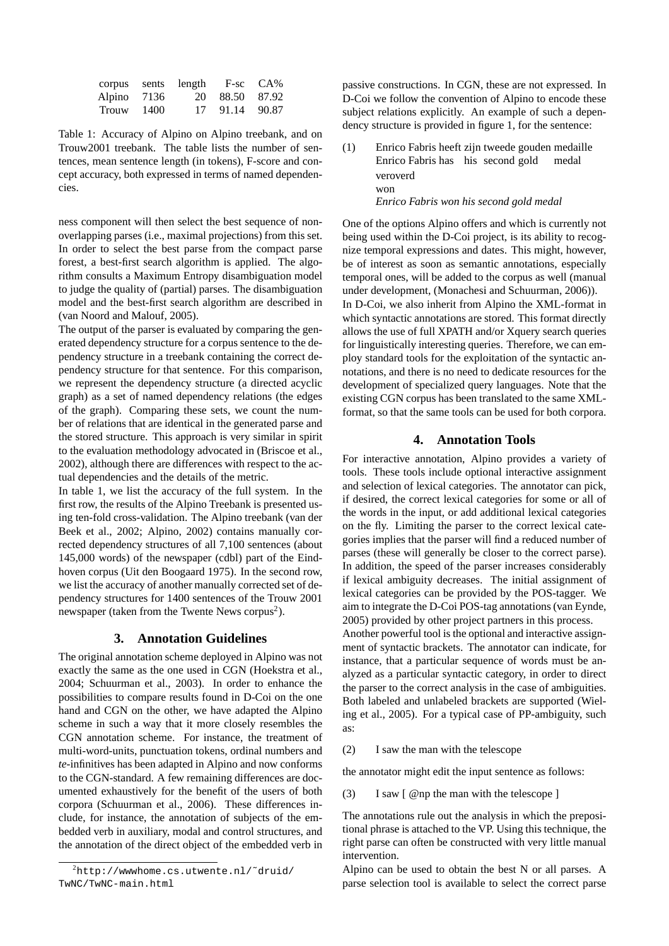| corpus         | sents length |             | $F-sc$ $CA\%$ |
|----------------|--------------|-------------|---------------|
| Alpino 7136    | 20           | 88.50 87.92 |               |
| $Trouw = 1400$ | 17           | 91.14 90.87 |               |

Table 1: Accuracy of Alpino on Alpino treebank, and on Trouw2001 treebank. The table lists the number of sentences, mean sentence length (in tokens), F-score and concept accuracy, both expressed in terms of named dependencies.

ness component will then select the best sequence of nonoverlapping parses (i.e., maximal projections) from this set. In order to select the best parse from the compact parse forest, a best-first search algorithm is applied. The algorithm consults a Maximum Entropy disambiguation model to judge the quality of (partial) parses. The disambiguation model and the best-first search algorithm are described in (van Noord and Malouf, 2005).

The output of the parser is evaluated by comparing the generated dependency structure for a corpus sentence to the dependency structure in a treebank containing the correct dependency structure for that sentence. For this comparison, we represent the dependency structure (a directed acyclic graph) as a set of named dependency relations (the edges of the graph). Comparing these sets, we count the number of relations that are identical in the generated parse and the stored structure. This approach is very similar in spirit to the evaluation methodology advocated in (Briscoe et al., 2002), although there are differences with respect to the actual dependencies and the details of the metric.

In table 1, we list the accuracy of the full system. In the first row, the results of the Alpino Treebank is presented using ten-fold cross-validation. The Alpino treebank (van der Beek et al., 2002; Alpino, 2002) contains manually corrected dependency structures of all 7,100 sentences (about 145,000 words) of the newspaper (cdbl) part of the Eindhoven corpus (Uit den Boogaard 1975). In the second row, we list the accuracy of another manually corrected set of dependency structures for 1400 sentences of the Trouw 2001 newspaper (taken from the Twente News corpus<sup>2</sup>).

# **3. Annotation Guidelines**

The original annotation scheme deployed in Alpino was not exactly the same as the one used in CGN (Hoekstra et al., 2004; Schuurman et al., 2003). In order to enhance the possibilities to compare results found in D-Coi on the one hand and CGN on the other, we have adapted the Alpino scheme in such a way that it more closely resembles the CGN annotation scheme. For instance, the treatment of multi-word-units, punctuation tokens, ordinal numbers and *te*-infinitives has been adapted in Alpino and now conforms to the CGN-standard. A few remaining differences are documented exhaustively for the benefit of the users of both corpora (Schuurman et al., 2006). These differences include, for instance, the annotation of subjects of the embedded verb in auxiliary, modal and control structures, and the annotation of the direct object of the embedded verb in passive constructions. In CGN, these are not expressed. In D-Coi we follow the convention of Alpino to encode these subject relations explicitly. An example of such a dependency structure is provided in figure 1, for the sentence:

(1) Enrico Fabris heeft zijn tweede gouden medaille Enrico Fabris has his second gold medal veroverd won *Enrico Fabris won his second gold medal*

One of the options Alpino offers and which is currently not being used within the D-Coi project, is its ability to recognize temporal expressions and dates. This might, however, be of interest as soon as semantic annotations, especially temporal ones, will be added to the corpus as well (manual under development, (Monachesi and Schuurman, 2006)). In D-Coi, we also inherit from Alpino the XML-format in which syntactic annotations are stored. This format directly allows the use of full XPATH and/or Xquery search queries for linguistically interesting queries. Therefore, we can employ standard tools for the exploitation of the syntactic annotations, and there is no need to dedicate resources for the development of specialized query languages. Note that the existing CGN corpus has been translated to the same XMLformat, so that the same tools can be used for both corpora.

#### **4. Annotation Tools**

For interactive annotation, Alpino provides a variety of tools. These tools include optional interactive assignment and selection of lexical categories. The annotator can pick, if desired, the correct lexical categories for some or all of the words in the input, or add additional lexical categories on the fly. Limiting the parser to the correct lexical categories implies that the parser will find a reduced number of parses (these will generally be closer to the correct parse). In addition, the speed of the parser increases considerably if lexical ambiguity decreases. The initial assignment of lexical categories can be provided by the POS-tagger. We aim to integrate the D-Coi POS-tag annotations (van Eynde, 2005) provided by other project partners in this process.

Another powerful tool is the optional and interactive assignment of syntactic brackets. The annotator can indicate, for instance, that a particular sequence of words must be analyzed as a particular syntactic category, in order to direct the parser to the correct analysis in the case of ambiguities. Both labeled and unlabeled brackets are supported (Wieling et al., 2005). For a typical case of PP-ambiguity, such as:

(2) I saw the man with the telescope

the annotator might edit the input sentence as follows:

(3) I saw [ @np the man with the telescope ]

 $^{2}$ http://wwwhome.cs.utwente.nl/~druid/ TwNC/TwNC-main.html

The annotations rule out the analysis in which the prepositional phrase is attached to the VP. Using this technique, the right parse can often be constructed with very little manual intervention.

Alpino can be used to obtain the best N or all parses. A parse selection tool is available to select the correct parse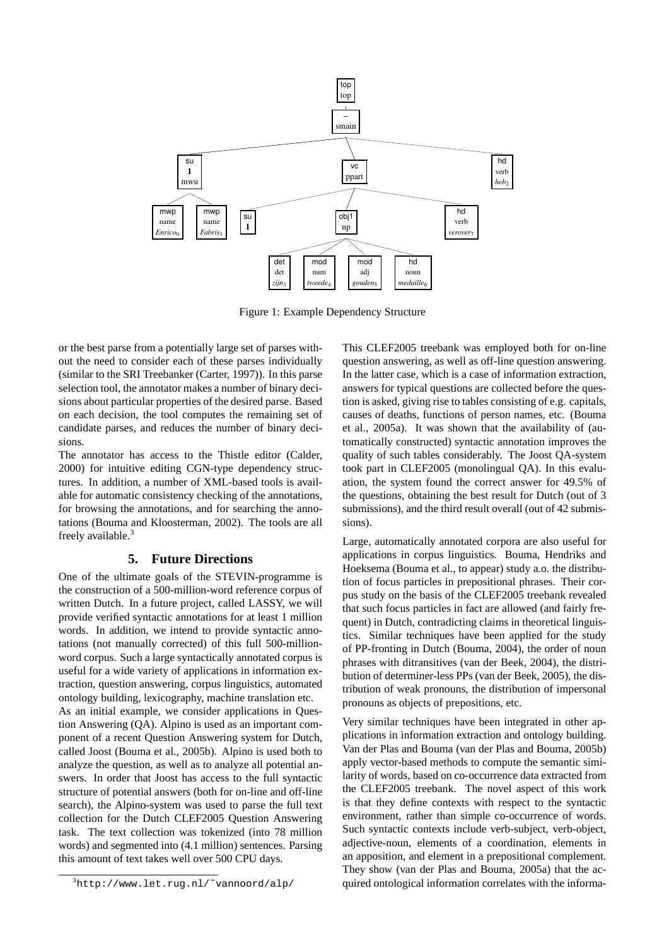

Figure 1: Example Dependency Structure

or the best parse from a potentially large set of parses without the need to consider each of these parses individually (similar to the SRI Treebanker (Carter, 1997)). In this parse selection tool, the annotator makes a number of binary decisions about particular properties of the desired parse. Based on each decision, the tool computes the remaining set of candidate parses, and reduces the number of binary decisions.

The annotator has access to the Thistle editor (Calder, 2000) for intuitive editing CGN-type dependency structures. In addition, a number of XML-based tools is available for automatic consistency checking of the annotations, for browsing the annotations, and for searching the annotations (Bouma and Kloosterman, 2002). The tools are all freely available.<sup>3</sup>

## **5. Future Directions**

One of the ultimate goals of the STEVIN-programme is the construction of a 500-million-word reference corpus of written Dutch. In a future project, called LASSY, we will provide verified syntactic annotations for at least 1 million words. In addition, we intend to provide syntactic annotations (not manually corrected) of this full 500-millionword corpus. Such a large syntactically annotated corpus is useful for a wide variety of applications in information extraction, question answering, corpus linguistics, automated ontology building, lexicography, machine translation etc. As an initial example, we consider applications in Question Answering (QA). Alpino is used as an important component of a recent Question Answering system for Dutch, called Joost (Bouma et al., 2005b). Alpino is used both to analyze the question, as well as to analyze all potential answers. In order that Joost has access to the full syntactic structure of potential answers (both for on-line and off-line search), the Alpino-system was used to parse the full text collection for the Dutch CLEF2005 Question Answering task. The text collection was tokenized (into 78 million words) and segmented into (4.1 million) sentences. Parsing this amount of text takes well over 500 CPU days.

<sup>3</sup>http://www.let.rug.nl/˜vannoord/alp/

This CLEF2005 treebank was employed both for on-line question answering, as well as off-line question answering. In the latter case, which is a case of information extraction, answers for typical questions are collected before the question is asked, giving rise to tables consisting of e.g. capitals, causes of deaths, functions of person names, etc. (Bouma et al., 2005a). It was shown that the availability of (automatically constructed) syntactic annotation improves the quality of such tables considerably. The Joost QA-system took part in CLEF2005 (monolingual QA). In this evaluation, the system found the correct answer for 49.5% of the questions, obtaining the best result for Dutch (out of 3 submissions), and the third result overall (out of 42 submissions).

Large, automatically annotated corpora are also useful for applications in corpus linguistics. Bouma, Hendriks and Hoeksema (Bouma et al., to appear) study a.o. the distribution of focus particles in prepositional phrases. Their corpus study on the basis of the CLEF2005 treebank revealed that such focus particles in fact are allowed (and fairly frequent) in Dutch, contradicting claims in theoretical linguistics. Similar techniques have been applied for the study of PP-fronting in Dutch (Bouma, 2004), the order of noun phrases with ditransitives (van der Beek, 2004), the distribution of determiner-less PPs (van der Beek, 2005), the distribution of weak pronouns, the distribution of impersonal pronouns as objects of prepositions, etc.

Very similar techniques have been integrated in other applications in information extraction and ontology building. Van der Plas and Bouma (van der Plas and Bouma, 2005b) apply vector-based methods to compute the semantic similarity of words, based on co-occurrence data extracted from the CLEF2005 treebank. The novel aspect of this work is that they define contexts with respect to the syntactic environment, rather than simple co-occurrence of words. Such syntactic contexts include verb-subject, verb-object, adjective-noun, elements of a coordination, elements in an apposition, and element in a prepositional complement. They show (van der Plas and Bouma, 2005a) that the acquired ontological information correlates with the informa